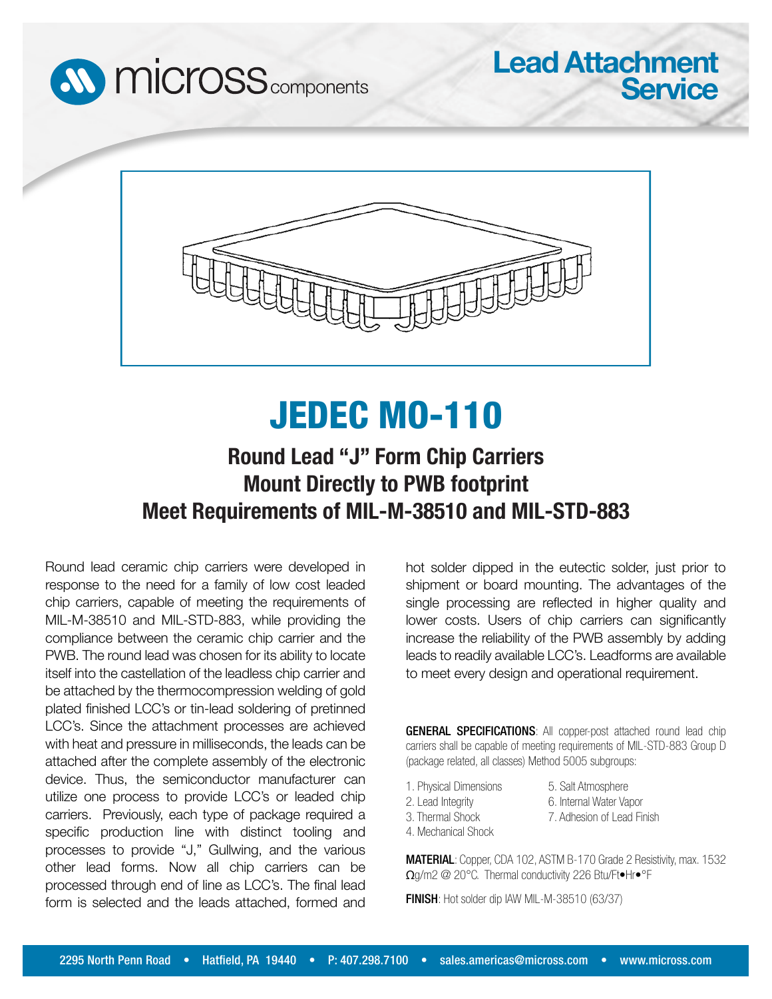



## JEDEC MO-110

## **Round Lead "J" Form Chip Carriers Mount Directly to PWB footprint Meet Requirements of MIL-M-38510 and MIL-STD-883**

Round lead ceramic chip carriers were developed in response to the need for a family of low cost leaded chip carriers, capable of meeting the requirements of MIL-M-38510 and MIL-STD-883, while providing the compliance between the ceramic chip carrier and the PWB. The round lead was chosen for its ability to locate itself into the castellation of the leadless chip carrier and be attached by the thermocompression welding of gold plated finished LCC's or tin-lead soldering of pretinned LCC's. Since the attachment processes are achieved with heat and pressure in milliseconds, the leads can be attached after the complete assembly of the electronic device. Thus, the semiconductor manufacturer can utilize one process to provide LCC's or leaded chip carriers. Previously, each type of package required a specific production line with distinct tooling and processes to provide "J," Gullwing, and the various other lead forms. Now all chip carriers can be processed through end of line as LCC's. The final lead form is selected and the leads attached, formed and

hot solder dipped in the eutectic solder, just prior to shipment or board mounting. The advantages of the single processing are reflected in higher quality and lower costs. Users of chip carriers can significantly increase the reliability of the PWB assembly by adding leads to readily available LCC's. Leadforms are available to meet every design and operational requirement.

**Lead Attachment**

**Service**

GENERAL SPECIFICATIONS: All copper-post attached round lead chip carriers shall be capable of meeting requirements of MIL-STD-883 Group D (package related, all classes) Method 5005 subgroups:

1. Physical Dimensions 2. Lead Integrity

5. Salt Atmosphere 6. Internal Water Vapor 7. Adhesion of Lead Finish

- 3. Thermal Shock
- 4. Mechanical Shock

MATERIAL: Copper, CDA 102, ASTM B-170 Grade 2 Resistivity, max. 1532 Ωg/m2 @ 20°C. Thermal conductivity 226 Btu/Ft•Hr•°F

FINISH: Hot solder dip IAW MIL-M-38510 (63/37)